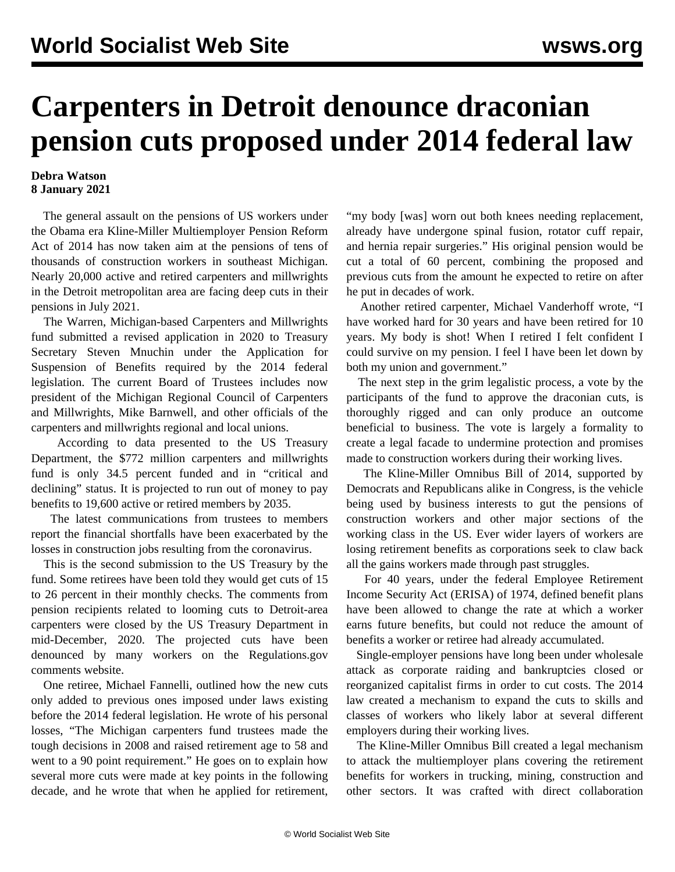## **Carpenters in Detroit denounce draconian pension cuts proposed under 2014 federal law**

## **Debra Watson 8 January 2021**

 The general assault on the pensions of US workers under the Obama era Kline-Miller Multiemployer Pension Reform Act of 2014 has now taken aim at the pensions of tens of thousands of construction workers in southeast Michigan. Nearly 20,000 active and retired carpenters and millwrights in the Detroit metropolitan area are facing deep cuts in their pensions in July 2021.

 The Warren, Michigan-based Carpenters and Millwrights fund submitted a revised application in 2020 to Treasury Secretary Steven Mnuchin under the Application for Suspension of Benefits required by the 2014 federal legislation. The current Board of Trustees includes now president of the Michigan Regional Council of Carpenters and Millwrights, Mike Barnwell, and other officials of the carpenters and millwrights regional and local unions.

 According to data presented to the US Treasury Department, the \$772 million carpenters and millwrights fund is only 34.5 percent funded and in "critical and declining" status. It is projected to run out of money to pay benefits to 19,600 active or retired members by 2035.

 The latest communications from trustees to members report the financial shortfalls have been exacerbated by the losses in construction jobs resulting from the coronavirus.

 This is the second submission to the US Treasury by the fund. Some retirees have been told they would get cuts of 15 to 26 percent in their monthly checks. The comments from pension recipients related to looming cuts to Detroit-area carpenters were closed by the US Treasury Department in mid-December, 2020. The projected cuts have been denounced by many workers on the Regulations.gov comments website.

 One retiree, Michael Fannelli, outlined how the new cuts only added to previous ones imposed under laws existing before the 2014 federal legislation. He wrote of his personal losses, "The Michigan carpenters fund trustees made the tough decisions in 2008 and raised retirement age to 58 and went to a 90 point requirement." He goes on to explain how several more cuts were made at key points in the following decade, and he wrote that when he applied for retirement, "my body [was] worn out both knees needing replacement, already have undergone spinal fusion, rotator cuff repair, and hernia repair surgeries." His original pension would be cut a total of 60 percent, combining the proposed and previous cuts from the amount he expected to retire on after he put in decades of work.

 Another retired carpenter, Michael Vanderhoff wrote, "I have worked hard for 30 years and have been retired for 10 years. My body is shot! When I retired I felt confident I could survive on my pension. I feel I have been let down by both my union and government."

 The next step in the grim legalistic process, a vote by the participants of the fund to approve the draconian cuts, is thoroughly rigged and can only produce an outcome beneficial to business. The vote is largely a formality to create a legal facade to undermine protection and promises made to construction workers during their working lives.

 The [Kline-Miller Omnibus Bill of 2014](/en/articles/2014/12/12/pbgc-d12.html), supported by Democrats and Republicans alike in Congress, is the vehicle being used by business interests to gut the pensions of construction workers and other major sections of the working class in the US. Ever wider layers of workers are losing retirement benefits as corporations seek to claw back all the gains workers made through past struggles.

 For 40 years, under the federal Employee Retirement Income Security Act (ERISA) of 1974, defined benefit plans have been allowed to change the rate at which a worker earns future benefits, but could not reduce the amount of benefits a worker or retiree had already accumulated.

 Single-employer pensions have long been under wholesale attack as corporate raiding and bankruptcies closed or reorganized capitalist firms in order to cut costs. The 2014 law created a mechanism to expand the cuts to skills and classes of workers who likely labor at several different employers during their working lives.

 The Kline-Miller Omnibus Bill created a legal mechanism to attack the multiemployer plans covering the retirement benefits for workers in trucking, mining, construction and other sectors. It was crafted with direct collaboration